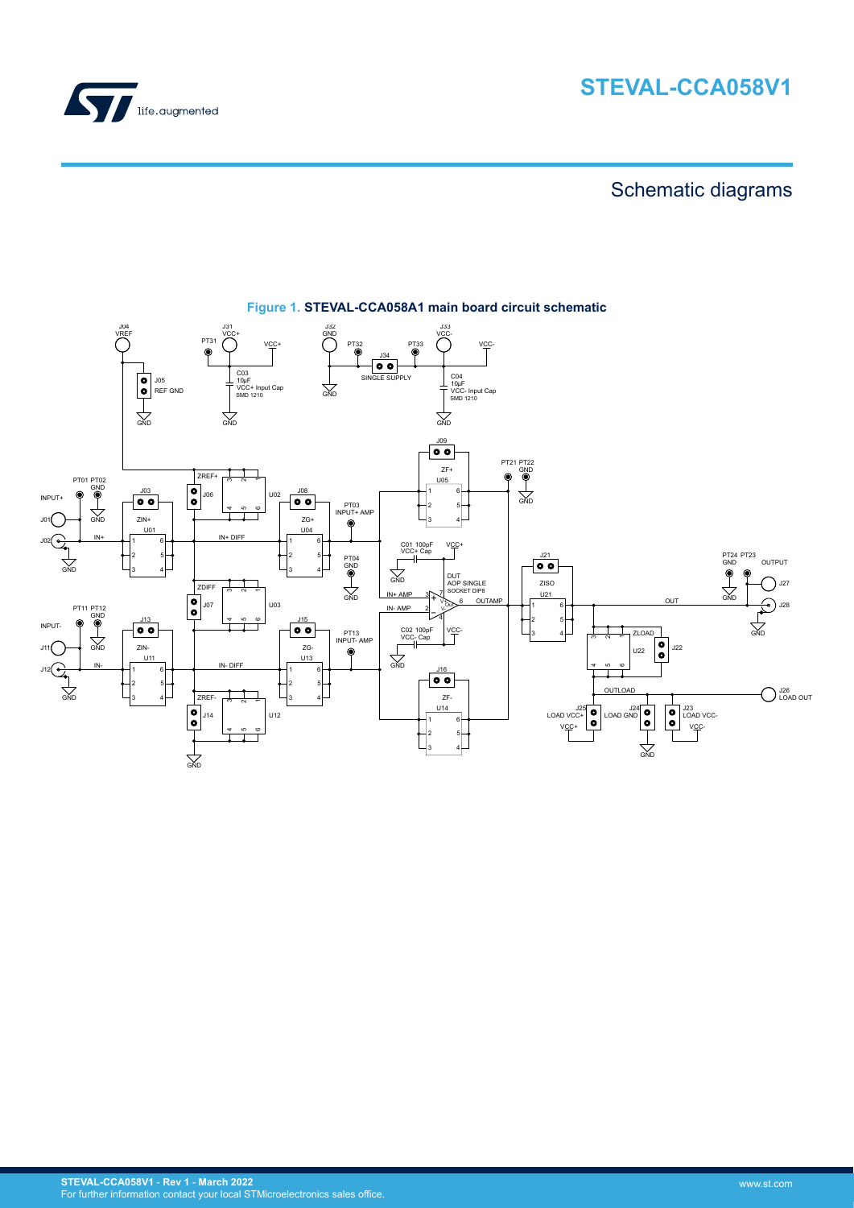



# Schematic diagrams



# **Figure 1. STEVAL-CCA058A1 main board circuit schematic**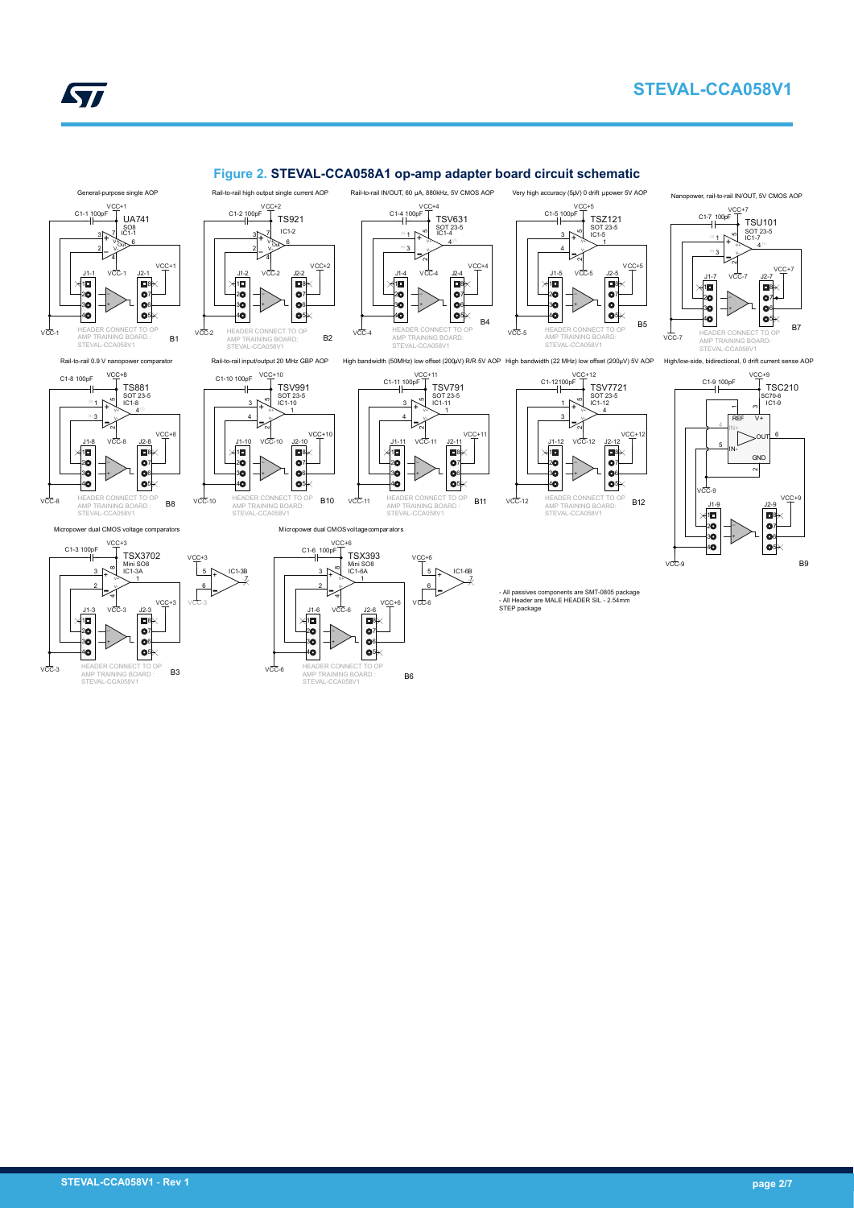



#### **Figure 2. STEVAL-CCA058A1 op-amp adapter board circuit schematic** Rail-to-rail IN/OUT, 60 μA, 880kHz, 5V CMOS AOP

VCC+4

+ 1 - 3 V+ V-

C1-4 100pF

\_ +

 $v_{\overline{C}}$ 

AMP TRAINING BOARD: STEVAL-CCA058V1

SOT 23-5 4

> > 7

1

TSV791 IC1-11

VCC+4

 $\mathsf T$  TSV631











AMP TRAINING BOARD:

 $v_{\rm CO}^{\perp}$ 

+ 5 - 6

IC1-3B<br>V

STEV

 $C1-2 10$ 

+ 3 − 2  $\frac{6}{100}$ V-4 V+ 7 TS921 IC1-2

> \_ +

HEADER CONNECT TO O

 $v<sub>CC</sub>$ 

Rail-to-rail high output single current AOP VCC+2

VCC+2



 $v_{CC}$ 

 $V$ CC-11 HEADER CONNECT TO OP AMP TRAINING BOARD : STEVAL-CCA058V1



J1-5

C1-5 100pF

 $VCC-12$ HEADER CONNECT TO OP **B11** VCC-12 AMP TRAINING BOARD: **B12** STEVAL-CCA058V

- All passives components are SMT-0805 package - All Header are MALE HEADER SIL - 2.54mm STEP package

1  $\frac{3}{4}$  +  $\frac{10}{10}$  SOT 23-5<br>  $\frac{3}{4}$  +  $\frac{1}{20}$ - 4  $\sim$  $V_{2}$ 

8 7

VCC+

J2-5

TSZ121 IC1-5

Very high accuracy (5μV) 0 drift µpower 5V AOP

 $VCC+5$ 

VCC-5

J1-9 AMP TRAINING BOARD: STEVAL-CCA058V1 J2-9 VCC+9 VCC+9 C1-9 100pF TSC210 REF  $\tau$ 5 IN-∾ **GND** High/low-side, bidirectional, 0 drift current sense AOP 6 V+ IC1-9 SC70-6  $\frac{1}{\sqrt{C}}$ -9  $\frac{4}{1}$ IN+ OUT  $\frac{1}{\sqrt{CC-7}}$ 

+

1<br>4<br>4

VCC-9

SOT 23-5 IC1-7<br>└─ 4 □ 5+ 1 - 3  $\sim$ بر<br>آ∤ V-

> **B** 7 6  $\bullet$ <sup>5</sup>

J2-7

VCC+7

VCC+7<br>C1-7 100pF TSU101

Nanopower, rail-to-rail IN/OUT, 5V CMOS AOP

\_ +

VCC-7

HEADER CONNECT TO OP



|8<br>|6<br>|6





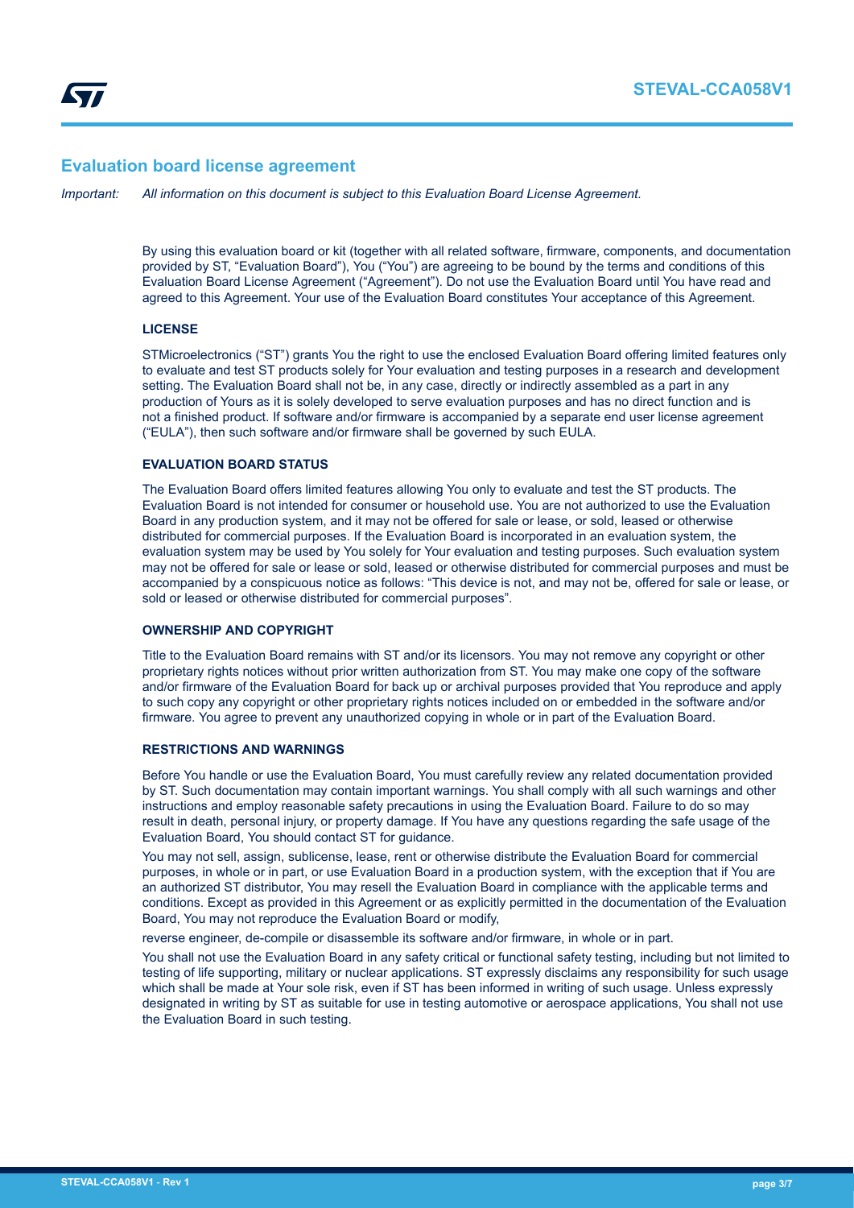# **Evaluation board license agreement**

*Important: All information on this document is subject to this Evaluation Board License Agreement.*

By using this evaluation board or kit (together with all related software, firmware, components, and documentation provided by ST, "Evaluation Board"), You ("You") are agreeing to be bound by the terms and conditions of this Evaluation Board License Agreement ("Agreement"). Do not use the Evaluation Board until You have read and agreed to this Agreement. Your use of the Evaluation Board constitutes Your acceptance of this Agreement.

# **LICENSE**

STMicroelectronics ("ST") grants You the right to use the enclosed Evaluation Board offering limited features only to evaluate and test ST products solely for Your evaluation and testing purposes in a research and development setting. The Evaluation Board shall not be, in any case, directly or indirectly assembled as a part in any production of Yours as it is solely developed to serve evaluation purposes and has no direct function and is not a finished product. If software and/or firmware is accompanied by a separate end user license agreement ("EULA"), then such software and/or firmware shall be governed by such EULA.

# **EVALUATION BOARD STATUS**

The Evaluation Board offers limited features allowing You only to evaluate and test the ST products. The Evaluation Board is not intended for consumer or household use. You are not authorized to use the Evaluation Board in any production system, and it may not be offered for sale or lease, or sold, leased or otherwise distributed for commercial purposes. If the Evaluation Board is incorporated in an evaluation system, the evaluation system may be used by You solely for Your evaluation and testing purposes. Such evaluation system may not be offered for sale or lease or sold, leased or otherwise distributed for commercial purposes and must be accompanied by a conspicuous notice as follows: "This device is not, and may not be, offered for sale or lease, or sold or leased or otherwise distributed for commercial purposes".

# **OWNERSHIP AND COPYRIGHT**

Title to the Evaluation Board remains with ST and/or its licensors. You may not remove any copyright or other proprietary rights notices without prior written authorization from ST. You may make one copy of the software and/or firmware of the Evaluation Board for back up or archival purposes provided that You reproduce and apply to such copy any copyright or other proprietary rights notices included on or embedded in the software and/or firmware. You agree to prevent any unauthorized copying in whole or in part of the Evaluation Board.

#### **RESTRICTIONS AND WARNINGS**

Before You handle or use the Evaluation Board, You must carefully review any related documentation provided by ST. Such documentation may contain important warnings. You shall comply with all such warnings and other instructions and employ reasonable safety precautions in using the Evaluation Board. Failure to do so may result in death, personal injury, or property damage. If You have any questions regarding the safe usage of the Evaluation Board, You should contact ST for guidance.

You may not sell, assign, sublicense, lease, rent or otherwise distribute the Evaluation Board for commercial purposes, in whole or in part, or use Evaluation Board in a production system, with the exception that if You are an authorized ST distributor, You may resell the Evaluation Board in compliance with the applicable terms and conditions. Except as provided in this Agreement or as explicitly permitted in the documentation of the Evaluation Board, You may not reproduce the Evaluation Board or modify,

reverse engineer, de-compile or disassemble its software and/or firmware, in whole or in part.

You shall not use the Evaluation Board in any safety critical or functional safety testing, including but not limited to testing of life supporting, military or nuclear applications. ST expressly disclaims any responsibility for such usage which shall be made at Your sole risk, even if ST has been informed in writing of such usage. Unless expressly designated in writing by ST as suitable for use in testing automotive or aerospace applications, You shall not use the Evaluation Board in such testing.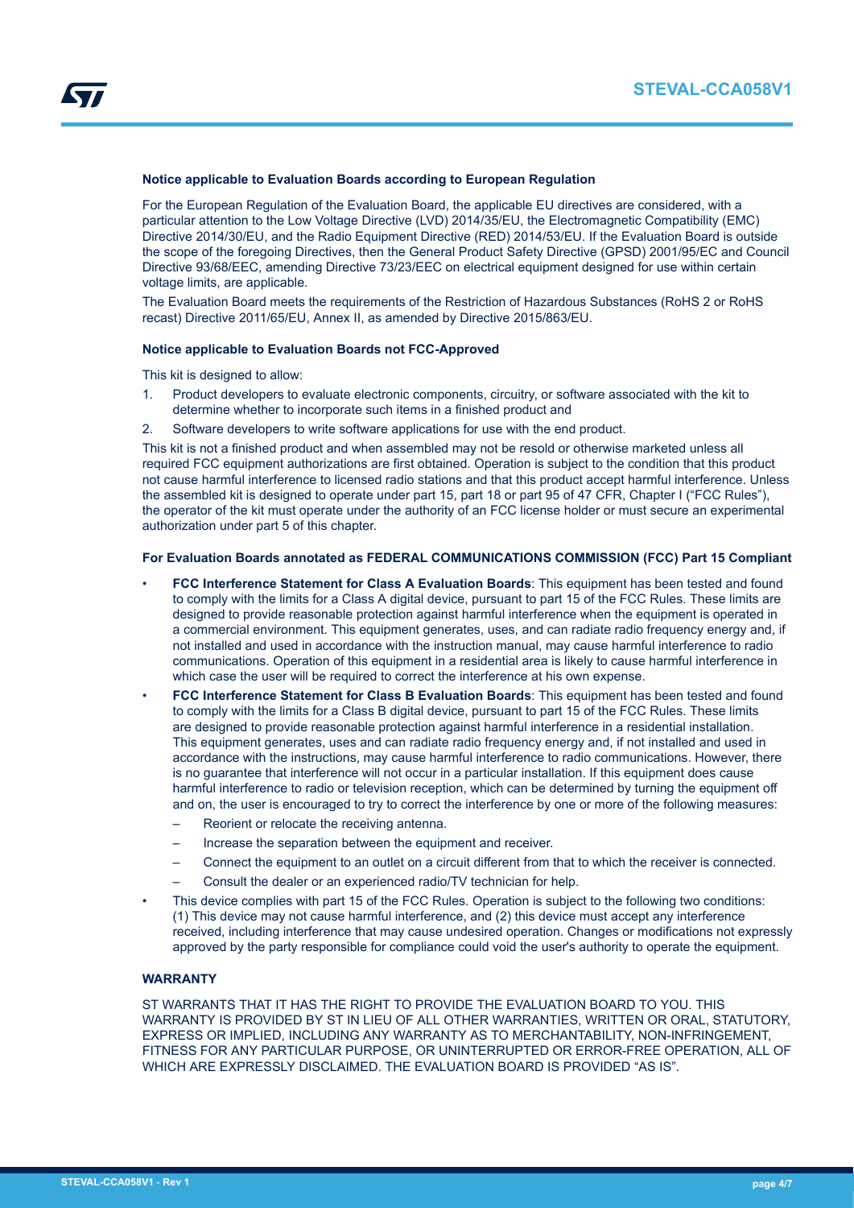

#### **Notice applicable to Evaluation Boards according to European Regulation**

For the European Regulation of the Evaluation Board, the applicable EU directives are considered, with a particular attention to the Low Voltage Directive (LVD) 2014/35/EU, the Electromagnetic Compatibility (EMC) Directive 2014/30/EU, and the Radio Equipment Directive (RED) 2014/53/EU. If the Evaluation Board is outside the scope of the foregoing Directives, then the General Product Safety Directive (GPSD) 2001/95/EC and Council Directive 93/68/EEC, amending Directive 73/23/EEC on electrical equipment designed for use within certain voltage limits, are applicable.

The Evaluation Board meets the requirements of the Restriction of Hazardous Substances (RoHS 2 or RoHS recast) Directive 2011/65/EU, Annex II, as amended by Directive 2015/863/EU.

#### **Notice applicable to Evaluation Boards not FCC-Approved**

This kit is designed to allow:

- 1. Product developers to evaluate electronic components, circuitry, or software associated with the kit to determine whether to incorporate such items in a finished product and
- 2. Software developers to write software applications for use with the end product.

This kit is not a finished product and when assembled may not be resold or otherwise marketed unless all required FCC equipment authorizations are first obtained. Operation is subject to the condition that this product not cause harmful interference to licensed radio stations and that this product accept harmful interference. Unless the assembled kit is designed to operate under part 15, part 18 or part 95 of 47 CFR, Chapter I ("FCC Rules"), the operator of the kit must operate under the authority of an FCC license holder or must secure an experimental authorization under part 5 of this chapter.

# **For Evaluation Boards annotated as FEDERAL COMMUNICATIONS COMMISSION (FCC) Part 15 Compliant**

- **FCC Interference Statement for Class A Evaluation Boards**: This equipment has been tested and found to comply with the limits for a Class A digital device, pursuant to part 15 of the FCC Rules. These limits are designed to provide reasonable protection against harmful interference when the equipment is operated in a commercial environment. This equipment generates, uses, and can radiate radio frequency energy and, if not installed and used in accordance with the instruction manual, may cause harmful interference to radio communications. Operation of this equipment in a residential area is likely to cause harmful interference in which case the user will be required to correct the interference at his own expense.
- **FCC Interference Statement for Class B Evaluation Boards**: This equipment has been tested and found to comply with the limits for a Class B digital device, pursuant to part 15 of the FCC Rules. These limits are designed to provide reasonable protection against harmful interference in a residential installation. This equipment generates, uses and can radiate radio frequency energy and, if not installed and used in accordance with the instructions, may cause harmful interference to radio communications. However, there is no guarantee that interference will not occur in a particular installation. If this equipment does cause harmful interference to radio or television reception, which can be determined by turning the equipment off and on, the user is encouraged to try to correct the interference by one or more of the following measures:
	- Reorient or relocate the receiving antenna.
	- Increase the separation between the equipment and receiver.
	- Connect the equipment to an outlet on a circuit different from that to which the receiver is connected.
	- Consult the dealer or an experienced radio/TV technician for help.
- This device complies with part 15 of the FCC Rules. Operation is subject to the following two conditions: (1) This device may not cause harmful interference, and (2) this device must accept any interference received, including interference that may cause undesired operation. Changes or modifications not expressly approved by the party responsible for compliance could void the user's authority to operate the equipment.

# **WARRANTY**

ST WARRANTS THAT IT HAS THE RIGHT TO PROVIDE THE EVALUATION BOARD TO YOU. THIS WARRANTY IS PROVIDED BY ST IN LIEU OF ALL OTHER WARRANTIES, WRITTEN OR ORAL, STATUTORY, EXPRESS OR IMPLIED, INCLUDING ANY WARRANTY AS TO MERCHANTABILITY, NON-INFRINGEMENT, FITNESS FOR ANY PARTICULAR PURPOSE, OR UNINTERRUPTED OR ERROR-FREE OPERATION, ALL OF WHICH ARE EXPRESSLY DISCLAIMED. THE EVALUATION BOARD IS PROVIDED "AS IS".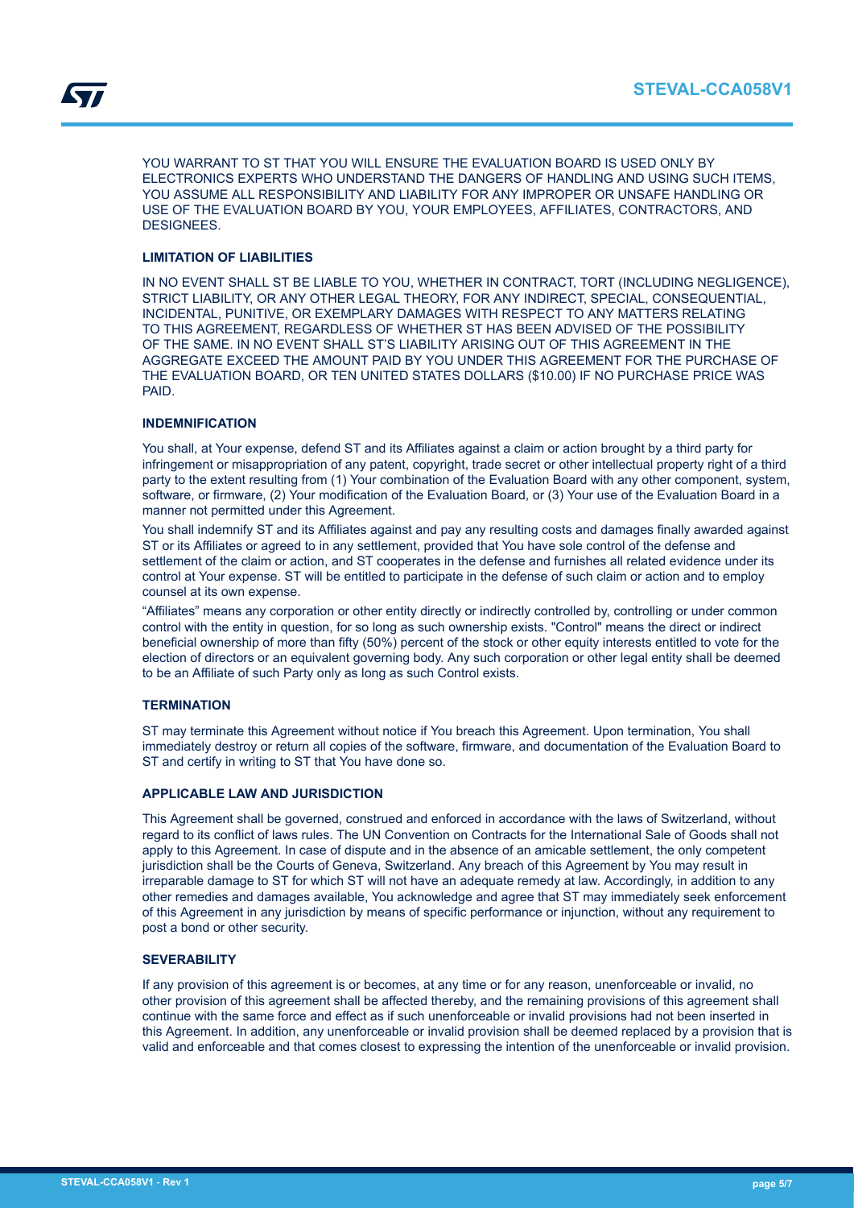YOU WARRANT TO ST THAT YOU WILL ENSURE THE EVALUATION BOARD IS USED ONLY BY ELECTRONICS EXPERTS WHO UNDERSTAND THE DANGERS OF HANDLING AND USING SUCH ITEMS, YOU ASSUME ALL RESPONSIBILITY AND LIABILITY FOR ANY IMPROPER OR UNSAFE HANDLING OR USE OF THE EVALUATION BOARD BY YOU, YOUR EMPLOYEES, AFFILIATES, CONTRACTORS, AND DESIGNEES.

# **LIMITATION OF LIABILITIES**

IN NO EVENT SHALL ST BE LIABLE TO YOU, WHETHER IN CONTRACT, TORT (INCLUDING NEGLIGENCE), STRICT LIABILITY, OR ANY OTHER LEGAL THEORY, FOR ANY INDIRECT, SPECIAL, CONSEQUENTIAL, INCIDENTAL, PUNITIVE, OR EXEMPLARY DAMAGES WITH RESPECT TO ANY MATTERS RELATING TO THIS AGREEMENT, REGARDLESS OF WHETHER ST HAS BEEN ADVISED OF THE POSSIBILITY OF THE SAME. IN NO EVENT SHALL ST'S LIABILITY ARISING OUT OF THIS AGREEMENT IN THE AGGREGATE EXCEED THE AMOUNT PAID BY YOU UNDER THIS AGREEMENT FOR THE PURCHASE OF THE EVALUATION BOARD, OR TEN UNITED STATES DOLLARS (\$10.00) IF NO PURCHASE PRICE WAS PAID.

# **INDEMNIFICATION**

You shall, at Your expense, defend ST and its Affiliates against a claim or action brought by a third party for infringement or misappropriation of any patent, copyright, trade secret or other intellectual property right of a third party to the extent resulting from (1) Your combination of the Evaluation Board with any other component, system, software, or firmware, (2) Your modification of the Evaluation Board, or (3) Your use of the Evaluation Board in a manner not permitted under this Agreement.

You shall indemnify ST and its Affiliates against and pay any resulting costs and damages finally awarded against ST or its Affiliates or agreed to in any settlement, provided that You have sole control of the defense and settlement of the claim or action, and ST cooperates in the defense and furnishes all related evidence under its control at Your expense. ST will be entitled to participate in the defense of such claim or action and to employ counsel at its own expense.

"Affiliates" means any corporation or other entity directly or indirectly controlled by, controlling or under common control with the entity in question, for so long as such ownership exists. "Control" means the direct or indirect beneficial ownership of more than fifty (50%) percent of the stock or other equity interests entitled to vote for the election of directors or an equivalent governing body. Any such corporation or other legal entity shall be deemed to be an Affiliate of such Party only as long as such Control exists.

# **TERMINATION**

ST may terminate this Agreement without notice if You breach this Agreement. Upon termination, You shall immediately destroy or return all copies of the software, firmware, and documentation of the Evaluation Board to ST and certify in writing to ST that You have done so.

# **APPLICABLE LAW AND JURISDICTION**

This Agreement shall be governed, construed and enforced in accordance with the laws of Switzerland, without regard to its conflict of laws rules. The UN Convention on Contracts for the International Sale of Goods shall not apply to this Agreement. In case of dispute and in the absence of an amicable settlement, the only competent jurisdiction shall be the Courts of Geneva, Switzerland. Any breach of this Agreement by You may result in irreparable damage to ST for which ST will not have an adequate remedy at law. Accordingly, in addition to any other remedies and damages available, You acknowledge and agree that ST may immediately seek enforcement of this Agreement in any jurisdiction by means of specific performance or injunction, without any requirement to post a bond or other security.

# **SEVERABILITY**

If any provision of this agreement is or becomes, at any time or for any reason, unenforceable or invalid, no other provision of this agreement shall be affected thereby, and the remaining provisions of this agreement shall continue with the same force and effect as if such unenforceable or invalid provisions had not been inserted in this Agreement. In addition, any unenforceable or invalid provision shall be deemed replaced by a provision that is valid and enforceable and that comes closest to expressing the intention of the unenforceable or invalid provision.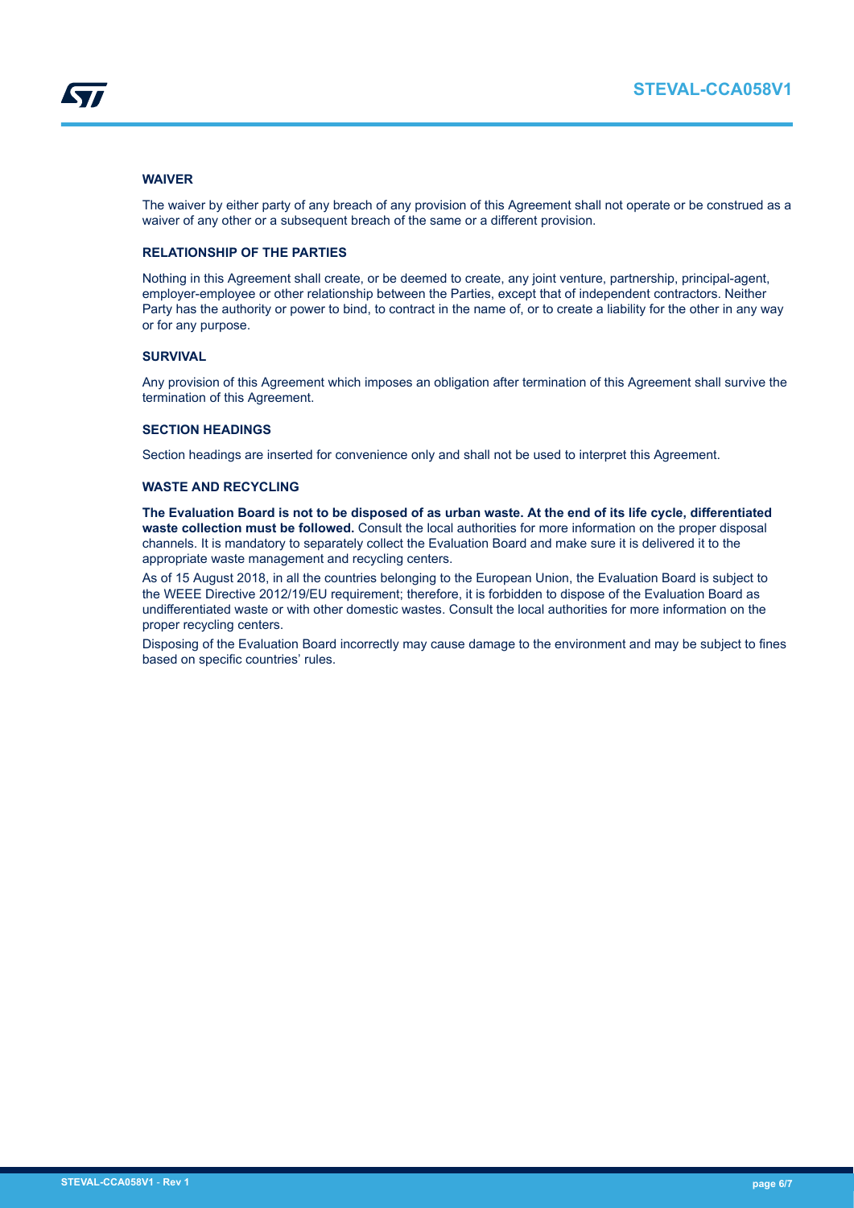# **WAIVER**

The waiver by either party of any breach of any provision of this Agreement shall not operate or be construed as a waiver of any other or a subsequent breach of the same or a different provision.

# **RELATIONSHIP OF THE PARTIES**

Nothing in this Agreement shall create, or be deemed to create, any joint venture, partnership, principal-agent, employer-employee or other relationship between the Parties, except that of independent contractors. Neither Party has the authority or power to bind, to contract in the name of, or to create a liability for the other in any way or for any purpose.

# **SURVIVAL**

Any provision of this Agreement which imposes an obligation after termination of this Agreement shall survive the termination of this Agreement.

# **SECTION HEADINGS**

Section headings are inserted for convenience only and shall not be used to interpret this Agreement.

# **WASTE AND RECYCLING**

**The Evaluation Board is not to be disposed of as urban waste. At the end of its life cycle, differentiated waste collection must be followed.** Consult the local authorities for more information on the proper disposal channels. It is mandatory to separately collect the Evaluation Board and make sure it is delivered it to the appropriate waste management and recycling centers.

As of 15 August 2018, in all the countries belonging to the European Union, the Evaluation Board is subject to the WEEE Directive 2012/19/EU requirement; therefore, it is forbidden to dispose of the Evaluation Board as undifferentiated waste or with other domestic wastes. Consult the local authorities for more information on the proper recycling centers.

Disposing of the Evaluation Board incorrectly may cause damage to the environment and may be subject to fines based on specific countries' rules.